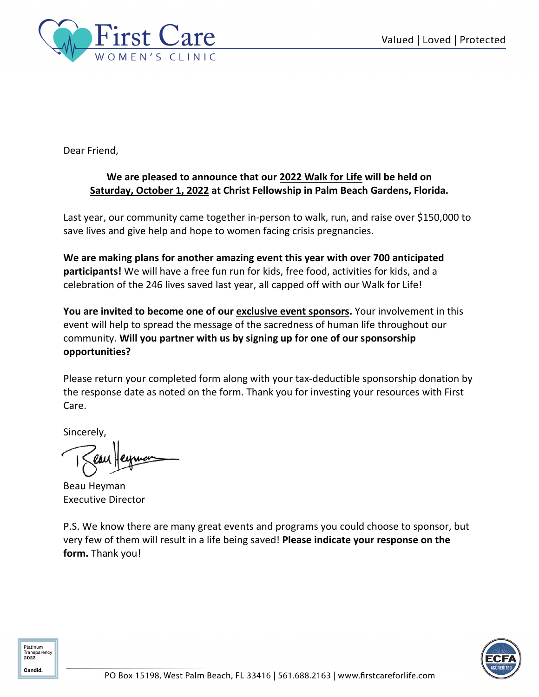

Dear Friend,

### **We are pleased to announce that our 2022 Walk for Life will be held on Saturday, October 1, 2022 at Christ Fellowship in Palm Beach Gardens, Florida.**

Last year, our community came together in-person to walk, run, and raise over \$150,000 to save lives and give help and hope to women facing crisis pregnancies.

**We are making plans for another amazing event this year with over 700 anticipated participants!** We will have a free fun run for kids, free food, activities for kids, and a celebration of the 246 lives saved last year, all capped off with our Walk for Life!

You are invited to become one of our **exclusive event sponsors**. Your involvement in this event will help to spread the message of the sacredness of human life throughout our community. **Will you partner with us by signing up for one of our sponsorship opportunities?** 

Please return your completed form along with your tax-deductible sponsorship donation by the response date as noted on the form. Thank you for investing your resources with First Care.

Sincerely,

Beau Heyman Executive Director

P.S. We know there are many great events and programs you could choose to sponsor, but very few of them will result in a life being saved! **Please indicate your response on the form.** Thank you!